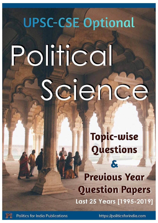# **UPSC-CSE Optional**

# Political Science

# **Topic-wise Questions**

**Previous Year Question Papers** Last 25 Years [1995-2019]



https://politicsforindia.com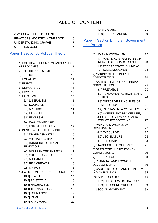#### TABLE OF CONTENT

| A WORD WITH THE STUDENTS      | 5 |
|-------------------------------|---|
| PRACTICES ADOPTED IN THE BOOK | 6 |
| UNDERSTANDING GRAPHS          |   |
| QUESTION CODE                 |   |

Paper 1 Section A: Political Theory.

| 1] POLITICAL THEORY: MEANING AND |    |
|----------------------------------|----|
| APPROACHES.                      | 9  |
| 2] THEORIES OF STATE             | 10 |
| 3] JUSTICE                       | 10 |
| 4] EQUALITY                      | 11 |
| 5] RIGHTS                        | 11 |
| 6] DEMOCRACY                     | 11 |
| 7] POWER                         | 12 |
| 8] IDEOLOGIES                    | 13 |
| 8.1] LIBERALISM                  | 13 |
| 8.2] SOCIALISM                   | 13 |
| 8.3] MARXISM                     | 14 |
| 8.4] FASCISM                     | 14 |
| 8.6] FEMINISM                    | 14 |
| 8.7] POSTMODERNISM               | 14 |
| 8.8] END OF IDEOLOGY             | 14 |
| 9] INDIAN POLITICAL THOUGHT      | 15 |
| 9.1] DHARMASHASTRA               | 15 |
| 9.2] ARTHASHASTRA                | 15 |
| 9.3] BUDDHIST POLITICAL          |    |
| <b>TRADITION</b>                 | 16 |
| 9.4] SIR SYED AHMED KHAN         | 16 |
| 9.5] SRI AUROBINDO               | 16 |
| 9.6] MK GANDHI                   | 16 |
| 9.7] BR AMBEDKAR                 | 16 |
| 9.8] MN ROY                      | 16 |
| 10] WESTERN POLITICAL THOUGHT    | 17 |
| <b>10.1] PLATO</b>               | 17 |
| 10.2] ARISTOTLE                  | 18 |
| 10.3] MACHIAVELLI                | 18 |
| 10.4] THOMAS HOBBES              | 18 |
| 10.5] JOHN LOCKE                 | 19 |
| 10.6] JS MILL                    | 19 |
| 10.7] KARL MARX                  | 20 |

| 10.8] GRAMSCI       | 20 |
|---------------------|----|
| 10.9] HANNAH ARENDT | 20 |

**Paper 1 Section B: Indian Government** and Politics

| 1] INDIAN NATIONALISM                                         | 23 |
|---------------------------------------------------------------|----|
| 1.1] POLITICAL STRATEGIES OF                                  |    |
| <b>INDIA'S FREEDOM STRUGGLE</b>                               | 23 |
| 1.2] PERSPECTIVES ON INDIAN<br><b>NATIONAL MOVEMENT</b>       |    |
|                                                               | 24 |
| 2] MAKING OF THE INDIAN<br><b>CONSTITUTION</b>                | 24 |
| 3] SALIENT FEATURES OF INDIAN                                 |    |
| <b>CONSTITUTION</b>                                           | 25 |
| 3.1] PREAMBLE                                                 | 25 |
| 3.2] FUNDAMENTAL RIGHTS AND<br><b>DUTIES</b>                  | 26 |
| 3.3] DIRECTIVE PRINCIPLES OF                                  |    |
| <b>STATE POLICY</b>                                           | 26 |
| 3.4] PARLIAMENTARY SYSTEM                                     | 26 |
| 3.5] AMENDMENT PROCEDURE,                                     |    |
| <b>JUDICIAL REVIEW AND BASIC</b><br><b>STRUCTURE DOCTRINE</b> |    |
| 4] PRINCIPAL ORGANS OF                                        | 27 |
| <b>GOVERNMENT.</b>                                            | 27 |
| 4.1] EXECUTIVE                                                | 27 |
| 4.2] LEGISLATURE                                              | 28 |
| 4.3] JUDICIARY                                                | 28 |
| 5] GRASSROOT DEMOCRACY                                        | 29 |
| 6] STATUTORY INSTITUTIONS /                                   |    |
| COMMISSIONS.                                                  | 29 |
| 7] FEDERALISM                                                 | 30 |
| 8] PLANNING AND ECONOMIC                                      |    |
| DEVELOPMENT.                                                  | 30 |
| 9] CASTE, RELIGION AND ETHNICITY IN                           |    |
| <b>INDIAN POLITICS</b>                                        | 31 |
| 10] PARTY SYSTEM                                              | 32 |
| 10.2] ELECTORAL BEHAVIOUR                                     | 33 |
| 10.3] PRESSURE GROUPS                                         | 33 |
| 11] SOCIAL MOVEMENT                                           | 33 |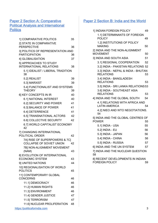#### **Paper 2 Section A: Comparative Political Analysis and International Politics**

| 1.2] INSTITUTIONS OF POLICY<br>2] STATE IN COMPARATIVE<br>50<br><b>MAKING</b><br><b>PERSPECTIVE</b><br>36<br>2] INDIA AND THE NON-ALIGNMENT<br>3] POLITICS OF REPRESENTATION AND<br><b>MOVEMENT</b><br>50<br><b>PARTICIPATION</b><br>36<br>51<br>3] INDIA AND SOUTH ASIA<br>37<br>4] GLOBALISATION<br>52<br>3.1] REGIONAL COOPERATION<br>5] APPROACHES TO STUDY<br><b>INTERNATIONAL RELATIONS</b><br>38<br>3.2] INDIA - PAKISTAN RELATIONS 52<br>3.3] INDIA - NEPAL & INDIA - BHUTAN<br>5.1] IDEALIST / LIBERAL TRADITION<br><b>RELATIONS</b><br>38<br>53<br>3.4] INDIA - BANGLADESH<br>39<br>5.2] REALIST<br><b>RELATIONS</b><br>53<br>5.3] MARXIST<br>39<br>3.5] INDIA - SRI LANKA RELATIONS 53<br>5.4] FUNCTIONALIST AND SYSTEMS<br>3.6] INDIA - SOUTHEAST ASIA<br><b>THEORY</b><br>39<br><b>RELATIONS</b><br>53<br>6] KEY CONCEPTS IN IR<br>40<br>4] INDIA AND THE GLOBAL SOUTH<br>54<br>6.1] NATIONAL INTEREST<br>40<br>4.1] RELATIONS WITH AFRICA AND<br>6.2] SECURITY AND POWER<br>41<br><b>LATIN AMERICA</b><br>54<br>6.3] BALANCE OF POWER<br>41<br>4.2] NIEO AND WTO NEGOTIATIONS.<br>6.4] DETERRENCE<br>41<br>54<br>6.5] TRANSNATIONAL ACTORS<br>42<br>5] INDIA AND THE GLOBAL CENTRES OF<br>6.6] COLLECTIVE SECURITY<br>42<br><b>POWER</b><br>55<br>6.7] WORLD CAPITALIST ECONOMY<br>55<br>5.1] INDIA - USA<br>42<br>5.2] INDIA - EU<br>56<br>7] CHANGING INTERNATIONAL<br>5.3] INDIA - JAPAN<br>56<br>POLITICAL ORDER<br>42<br>5.4] INDIA - CHINA<br>56<br>7A] RISE OF SUPERPOWERS & 7C]<br>5.5] INDIA - RUSSIA<br>57<br><b>COLLAPSE OF SOVIET UNION</b><br>42<br>6] INDIA AND THE UN SYSTEM<br>57<br>7B] NON-ALIGNMENT MOVEMENT<br>7] INDIA AND THE NUCLEAR QUESTION<br>(NAM)<br>43<br>58<br>8] EVOLUTION OF INTERNATIONAL<br><b>ECONOMIC SYSTEM</b><br>43<br>8] RECENT DEVELOPMENTS IN INDIAN<br><b>FOREIGN POLICY</b><br>59<br>9] UNITED NATIONS<br>44<br>10] REGIONALISATION OF WORLD<br><b>POLITICS</b><br>45<br>11] CONTEMPORARY GLOBAL<br><b>CONCERNS</b><br>46<br>11.1] DEMOCRACY<br>46<br>11.2] HUMAN RIGHTS<br>46<br>11.3] ENVIRONMENT<br>46<br>11.4] GENDER JUSTICE<br>47<br>11.5] TERRORISM<br>47<br>11.6] NUCLEAR PROLIFERATION<br>48 | 1] COMPARATIVE POLITICS      | 35 | 49<br><b>POLICY</b> |   |
|-----------------------------------------------------------------------------------------------------------------------------------------------------------------------------------------------------------------------------------------------------------------------------------------------------------------------------------------------------------------------------------------------------------------------------------------------------------------------------------------------------------------------------------------------------------------------------------------------------------------------------------------------------------------------------------------------------------------------------------------------------------------------------------------------------------------------------------------------------------------------------------------------------------------------------------------------------------------------------------------------------------------------------------------------------------------------------------------------------------------------------------------------------------------------------------------------------------------------------------------------------------------------------------------------------------------------------------------------------------------------------------------------------------------------------------------------------------------------------------------------------------------------------------------------------------------------------------------------------------------------------------------------------------------------------------------------------------------------------------------------------------------------------------------------------------------------------------------------------------------------------------------------------------------------------------------------------------------------------------------------------------------------------------------------------------------------------------------------------------------------------------------------------------------|------------------------------|----|---------------------|---|
|                                                                                                                                                                                                                                                                                                                                                                                                                                                                                                                                                                                                                                                                                                                                                                                                                                                                                                                                                                                                                                                                                                                                                                                                                                                                                                                                                                                                                                                                                                                                                                                                                                                                                                                                                                                                                                                                                                                                                                                                                                                                                                                                                                 |                              |    |                     |   |
|                                                                                                                                                                                                                                                                                                                                                                                                                                                                                                                                                                                                                                                                                                                                                                                                                                                                                                                                                                                                                                                                                                                                                                                                                                                                                                                                                                                                                                                                                                                                                                                                                                                                                                                                                                                                                                                                                                                                                                                                                                                                                                                                                                 |                              |    |                     |   |
|                                                                                                                                                                                                                                                                                                                                                                                                                                                                                                                                                                                                                                                                                                                                                                                                                                                                                                                                                                                                                                                                                                                                                                                                                                                                                                                                                                                                                                                                                                                                                                                                                                                                                                                                                                                                                                                                                                                                                                                                                                                                                                                                                                 |                              |    |                     |   |
|                                                                                                                                                                                                                                                                                                                                                                                                                                                                                                                                                                                                                                                                                                                                                                                                                                                                                                                                                                                                                                                                                                                                                                                                                                                                                                                                                                                                                                                                                                                                                                                                                                                                                                                                                                                                                                                                                                                                                                                                                                                                                                                                                                 |                              |    |                     |   |
|                                                                                                                                                                                                                                                                                                                                                                                                                                                                                                                                                                                                                                                                                                                                                                                                                                                                                                                                                                                                                                                                                                                                                                                                                                                                                                                                                                                                                                                                                                                                                                                                                                                                                                                                                                                                                                                                                                                                                                                                                                                                                                                                                                 |                              |    |                     |   |
|                                                                                                                                                                                                                                                                                                                                                                                                                                                                                                                                                                                                                                                                                                                                                                                                                                                                                                                                                                                                                                                                                                                                                                                                                                                                                                                                                                                                                                                                                                                                                                                                                                                                                                                                                                                                                                                                                                                                                                                                                                                                                                                                                                 |                              |    |                     |   |
|                                                                                                                                                                                                                                                                                                                                                                                                                                                                                                                                                                                                                                                                                                                                                                                                                                                                                                                                                                                                                                                                                                                                                                                                                                                                                                                                                                                                                                                                                                                                                                                                                                                                                                                                                                                                                                                                                                                                                                                                                                                                                                                                                                 |                              |    |                     |   |
|                                                                                                                                                                                                                                                                                                                                                                                                                                                                                                                                                                                                                                                                                                                                                                                                                                                                                                                                                                                                                                                                                                                                                                                                                                                                                                                                                                                                                                                                                                                                                                                                                                                                                                                                                                                                                                                                                                                                                                                                                                                                                                                                                                 |                              |    |                     |   |
|                                                                                                                                                                                                                                                                                                                                                                                                                                                                                                                                                                                                                                                                                                                                                                                                                                                                                                                                                                                                                                                                                                                                                                                                                                                                                                                                                                                                                                                                                                                                                                                                                                                                                                                                                                                                                                                                                                                                                                                                                                                                                                                                                                 |                              |    |                     |   |
|                                                                                                                                                                                                                                                                                                                                                                                                                                                                                                                                                                                                                                                                                                                                                                                                                                                                                                                                                                                                                                                                                                                                                                                                                                                                                                                                                                                                                                                                                                                                                                                                                                                                                                                                                                                                                                                                                                                                                                                                                                                                                                                                                                 |                              |    |                     |   |
|                                                                                                                                                                                                                                                                                                                                                                                                                                                                                                                                                                                                                                                                                                                                                                                                                                                                                                                                                                                                                                                                                                                                                                                                                                                                                                                                                                                                                                                                                                                                                                                                                                                                                                                                                                                                                                                                                                                                                                                                                                                                                                                                                                 |                              |    |                     |   |
|                                                                                                                                                                                                                                                                                                                                                                                                                                                                                                                                                                                                                                                                                                                                                                                                                                                                                                                                                                                                                                                                                                                                                                                                                                                                                                                                                                                                                                                                                                                                                                                                                                                                                                                                                                                                                                                                                                                                                                                                                                                                                                                                                                 |                              |    |                     |   |
|                                                                                                                                                                                                                                                                                                                                                                                                                                                                                                                                                                                                                                                                                                                                                                                                                                                                                                                                                                                                                                                                                                                                                                                                                                                                                                                                                                                                                                                                                                                                                                                                                                                                                                                                                                                                                                                                                                                                                                                                                                                                                                                                                                 |                              |    |                     |   |
|                                                                                                                                                                                                                                                                                                                                                                                                                                                                                                                                                                                                                                                                                                                                                                                                                                                                                                                                                                                                                                                                                                                                                                                                                                                                                                                                                                                                                                                                                                                                                                                                                                                                                                                                                                                                                                                                                                                                                                                                                                                                                                                                                                 |                              |    |                     |   |
|                                                                                                                                                                                                                                                                                                                                                                                                                                                                                                                                                                                                                                                                                                                                                                                                                                                                                                                                                                                                                                                                                                                                                                                                                                                                                                                                                                                                                                                                                                                                                                                                                                                                                                                                                                                                                                                                                                                                                                                                                                                                                                                                                                 |                              |    |                     |   |
|                                                                                                                                                                                                                                                                                                                                                                                                                                                                                                                                                                                                                                                                                                                                                                                                                                                                                                                                                                                                                                                                                                                                                                                                                                                                                                                                                                                                                                                                                                                                                                                                                                                                                                                                                                                                                                                                                                                                                                                                                                                                                                                                                                 |                              |    |                     |   |
|                                                                                                                                                                                                                                                                                                                                                                                                                                                                                                                                                                                                                                                                                                                                                                                                                                                                                                                                                                                                                                                                                                                                                                                                                                                                                                                                                                                                                                                                                                                                                                                                                                                                                                                                                                                                                                                                                                                                                                                                                                                                                                                                                                 |                              |    |                     |   |
|                                                                                                                                                                                                                                                                                                                                                                                                                                                                                                                                                                                                                                                                                                                                                                                                                                                                                                                                                                                                                                                                                                                                                                                                                                                                                                                                                                                                                                                                                                                                                                                                                                                                                                                                                                                                                                                                                                                                                                                                                                                                                                                                                                 |                              |    |                     |   |
|                                                                                                                                                                                                                                                                                                                                                                                                                                                                                                                                                                                                                                                                                                                                                                                                                                                                                                                                                                                                                                                                                                                                                                                                                                                                                                                                                                                                                                                                                                                                                                                                                                                                                                                                                                                                                                                                                                                                                                                                                                                                                                                                                                 |                              |    |                     |   |
|                                                                                                                                                                                                                                                                                                                                                                                                                                                                                                                                                                                                                                                                                                                                                                                                                                                                                                                                                                                                                                                                                                                                                                                                                                                                                                                                                                                                                                                                                                                                                                                                                                                                                                                                                                                                                                                                                                                                                                                                                                                                                                                                                                 |                              |    |                     |   |
|                                                                                                                                                                                                                                                                                                                                                                                                                                                                                                                                                                                                                                                                                                                                                                                                                                                                                                                                                                                                                                                                                                                                                                                                                                                                                                                                                                                                                                                                                                                                                                                                                                                                                                                                                                                                                                                                                                                                                                                                                                                                                                                                                                 |                              |    |                     |   |
|                                                                                                                                                                                                                                                                                                                                                                                                                                                                                                                                                                                                                                                                                                                                                                                                                                                                                                                                                                                                                                                                                                                                                                                                                                                                                                                                                                                                                                                                                                                                                                                                                                                                                                                                                                                                                                                                                                                                                                                                                                                                                                                                                                 |                              |    |                     |   |
|                                                                                                                                                                                                                                                                                                                                                                                                                                                                                                                                                                                                                                                                                                                                                                                                                                                                                                                                                                                                                                                                                                                                                                                                                                                                                                                                                                                                                                                                                                                                                                                                                                                                                                                                                                                                                                                                                                                                                                                                                                                                                                                                                                 |                              |    |                     |   |
|                                                                                                                                                                                                                                                                                                                                                                                                                                                                                                                                                                                                                                                                                                                                                                                                                                                                                                                                                                                                                                                                                                                                                                                                                                                                                                                                                                                                                                                                                                                                                                                                                                                                                                                                                                                                                                                                                                                                                                                                                                                                                                                                                                 |                              |    |                     |   |
|                                                                                                                                                                                                                                                                                                                                                                                                                                                                                                                                                                                                                                                                                                                                                                                                                                                                                                                                                                                                                                                                                                                                                                                                                                                                                                                                                                                                                                                                                                                                                                                                                                                                                                                                                                                                                                                                                                                                                                                                                                                                                                                                                                 |                              |    |                     |   |
|                                                                                                                                                                                                                                                                                                                                                                                                                                                                                                                                                                                                                                                                                                                                                                                                                                                                                                                                                                                                                                                                                                                                                                                                                                                                                                                                                                                                                                                                                                                                                                                                                                                                                                                                                                                                                                                                                                                                                                                                                                                                                                                                                                 |                              |    |                     |   |
|                                                                                                                                                                                                                                                                                                                                                                                                                                                                                                                                                                                                                                                                                                                                                                                                                                                                                                                                                                                                                                                                                                                                                                                                                                                                                                                                                                                                                                                                                                                                                                                                                                                                                                                                                                                                                                                                                                                                                                                                                                                                                                                                                                 |                              |    |                     |   |
|                                                                                                                                                                                                                                                                                                                                                                                                                                                                                                                                                                                                                                                                                                                                                                                                                                                                                                                                                                                                                                                                                                                                                                                                                                                                                                                                                                                                                                                                                                                                                                                                                                                                                                                                                                                                                                                                                                                                                                                                                                                                                                                                                                 |                              |    |                     |   |
|                                                                                                                                                                                                                                                                                                                                                                                                                                                                                                                                                                                                                                                                                                                                                                                                                                                                                                                                                                                                                                                                                                                                                                                                                                                                                                                                                                                                                                                                                                                                                                                                                                                                                                                                                                                                                                                                                                                                                                                                                                                                                                                                                                 |                              |    |                     |   |
|                                                                                                                                                                                                                                                                                                                                                                                                                                                                                                                                                                                                                                                                                                                                                                                                                                                                                                                                                                                                                                                                                                                                                                                                                                                                                                                                                                                                                                                                                                                                                                                                                                                                                                                                                                                                                                                                                                                                                                                                                                                                                                                                                                 |                              |    |                     |   |
|                                                                                                                                                                                                                                                                                                                                                                                                                                                                                                                                                                                                                                                                                                                                                                                                                                                                                                                                                                                                                                                                                                                                                                                                                                                                                                                                                                                                                                                                                                                                                                                                                                                                                                                                                                                                                                                                                                                                                                                                                                                                                                                                                                 |                              |    |                     |   |
|                                                                                                                                                                                                                                                                                                                                                                                                                                                                                                                                                                                                                                                                                                                                                                                                                                                                                                                                                                                                                                                                                                                                                                                                                                                                                                                                                                                                                                                                                                                                                                                                                                                                                                                                                                                                                                                                                                                                                                                                                                                                                                                                                                 |                              |    |                     |   |
|                                                                                                                                                                                                                                                                                                                                                                                                                                                                                                                                                                                                                                                                                                                                                                                                                                                                                                                                                                                                                                                                                                                                                                                                                                                                                                                                                                                                                                                                                                                                                                                                                                                                                                                                                                                                                                                                                                                                                                                                                                                                                                                                                                 |                              |    |                     |   |
|                                                                                                                                                                                                                                                                                                                                                                                                                                                                                                                                                                                                                                                                                                                                                                                                                                                                                                                                                                                                                                                                                                                                                                                                                                                                                                                                                                                                                                                                                                                                                                                                                                                                                                                                                                                                                                                                                                                                                                                                                                                                                                                                                                 |                              |    |                     |   |
|                                                                                                                                                                                                                                                                                                                                                                                                                                                                                                                                                                                                                                                                                                                                                                                                                                                                                                                                                                                                                                                                                                                                                                                                                                                                                                                                                                                                                                                                                                                                                                                                                                                                                                                                                                                                                                                                                                                                                                                                                                                                                                                                                                 |                              |    |                     |   |
|                                                                                                                                                                                                                                                                                                                                                                                                                                                                                                                                                                                                                                                                                                                                                                                                                                                                                                                                                                                                                                                                                                                                                                                                                                                                                                                                                                                                                                                                                                                                                                                                                                                                                                                                                                                                                                                                                                                                                                                                                                                                                                                                                                 |                              |    |                     |   |
|                                                                                                                                                                                                                                                                                                                                                                                                                                                                                                                                                                                                                                                                                                                                                                                                                                                                                                                                                                                                                                                                                                                                                                                                                                                                                                                                                                                                                                                                                                                                                                                                                                                                                                                                                                                                                                                                                                                                                                                                                                                                                                                                                                 |                              |    |                     |   |
|                                                                                                                                                                                                                                                                                                                                                                                                                                                                                                                                                                                                                                                                                                                                                                                                                                                                                                                                                                                                                                                                                                                                                                                                                                                                                                                                                                                                                                                                                                                                                                                                                                                                                                                                                                                                                                                                                                                                                                                                                                                                                                                                                                 |                              |    |                     |   |
|                                                                                                                                                                                                                                                                                                                                                                                                                                                                                                                                                                                                                                                                                                                                                                                                                                                                                                                                                                                                                                                                                                                                                                                                                                                                                                                                                                                                                                                                                                                                                                                                                                                                                                                                                                                                                                                                                                                                                                                                                                                                                                                                                                 | https://politicsforindia.com |    |                     | 3 |

#### Paper 2 Section B: India and the World

| 1] INDIAN FOREIGN POLICY                                | 49 |
|---------------------------------------------------------|----|
| 1.1] DETERMINANTS OF FOREIGN<br><b>POLICY</b>           | 49 |
|                                                         |    |
| 1.2] INSTITUTIONS OF POLICY<br><b>MAKING</b>            | 50 |
| 2] INDIA AND THE NON-ALIGNMENT<br><b>MOVEMENT</b>       | 50 |
| 3] INDIA AND SOUTH ASIA                                 | 51 |
|                                                         |    |
| 3.1] REGIONAL COOPERATION                               | 52 |
| 3.2] INDIA - PAKISTAN RELATIONS 52                      |    |
| 3.3] INDIA - NEPAL & INDIA - BHUTAN<br><b>RELATIONS</b> | 53 |
| 3.4] INDIA - BANGLADESH                                 |    |
| <b>RELATIONS</b>                                        | 53 |
| 3.5] INDIA - SRI LANKA RELATIONS 53                     |    |
| 3.6] INDIA - SOUTHEAST ASIA                             |    |
| <b>RELATIONS</b>                                        | 53 |
| 4] INDIA AND THE GLOBAL SOUTH                           | 54 |
| 4.1] RELATIONS WITH AFRICA AND                          |    |
| <b>LATIN AMERICA</b>                                    | 54 |
| 4.2] NIEO AND WTO NEGOTIATIONS.<br>54                   |    |
| 5] INDIA AND THE GLOBAL CENTRES OF<br><b>POWER</b>      | 55 |
| 5.1] INDIA - USA                                        | 55 |
| 5.2] INDIA - EU                                         | 56 |
| 5.3] INDIA - JAPAN                                      | 56 |
| 5.4] INDIA - CHINA                                      | 56 |
| 5.5] INDIA - RUSSIA                                     | 57 |
| 6] INDIA AND THE UN SYSTEM                              | 57 |
|                                                         |    |
| 7] INDIA AND THE NUCLEAR QUESTION<br>58                 |    |
| 8] RECENT DEVELOPMENTS IN INDIAN                        |    |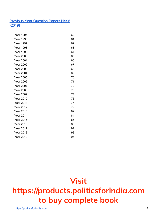#### **Previous Year Question Papers [1995** -2019]

| <b>Year 1995</b> | 60 |
|------------------|----|
| <b>Year 1996</b> | 61 |
| Year 1997        | 62 |
| <b>Year 1998</b> | 63 |
| <b>Year 1999</b> | 64 |
| <b>Year 2000</b> | 65 |
| <b>Year 2001</b> | 66 |
| <b>Year 2002</b> | 67 |
| <b>Year 2003</b> | 68 |
| <b>Year 2004</b> | 69 |
| <b>Year 2005</b> | 70 |
| <b>Year 2006</b> | 71 |
| <b>Year 2007</b> | 72 |
| <b>Year 2008</b> | 73 |
| <b>Year 2009</b> | 74 |
| <b>Year 2010</b> | 76 |
| <b>Year 2011</b> | 77 |
| <b>Year 2012</b> | 79 |
| <b>Year 2013</b> | 82 |
| <b>Year 2014</b> | 84 |
| <b>Year 2015</b> | 86 |
| <b>Year 2016</b> | 88 |
| <b>Year 2017</b> | 91 |
| <b>Year 2018</b> | 93 |
| <b>Year 2019</b> | 96 |

# **Visit https://products.politicsforindia.com to buy complete book**

https://politicsforindia.com 4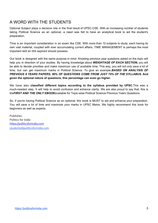#### A WORD WITH THE STUDENTS

Optional Subject plays a decisive role in the final result of UPSC-CSE. With an increasing number of students taking Political Science as an optional, a need was felt to have an analytical book to aid the student's preparation.

Time is an important consideration in an exam like CSE. With more than 10 subjects to study, each having its own vast material, coupled with ever accumulating current affairs, TIME MANAGEMENT is perhaps the most important skill an IAS aspirant should possess.

Our book is designed with the same purpose in mind. Knowing previous year questions asked on the topic will help you in direction of your studies. By having knowledge about *WEIGHTAGE OF EACH SECTION***,** you will be able to decide priorities and make maximum use of available time. This way, you will not only save a lot of time, but can get maximum marks in Political Science. To give an example,*BASED ON ANALYSIS OF PREVIOUS 8 YEARS PAPERS, 90% OF QUESTIONS COME FROM JUST 75% OF THE SYLLABUS.* **And given the optional nature of questions, this percentage can even go higher.**

We have also **classified different topics according to the syllabus provided by UPSC.**This was a much-needed step. It will help to avoid confusion and enhance clarity. We are also proud to say that, this is the*FIRST AND THE ONLY EBOOK*available for Topic-wise Political Science Previous Years Questions.

So, if you're having Political Science as an optional, this book is MUST to aid and enhance your preparation. You will save a lot of time and maximize your marks in UPSC Mains. We highly recommend this book for beginners as well as experts.

Publisher, Politics for India https://politicsforindia.com students@politicsforindia.com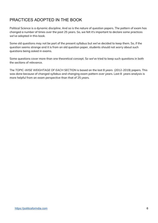#### PRACTICES ADOPTED IN THE BOOK

Political Science is a dynamic discipline. And so is the nature of question papers. The pattern of exam has changed a number of times over the past 25 years. So, we felt it's important to declare some practices we've adopted in this book.

Some old questions may not be part of the present syllabus but we've decided to keep them. So, if the question seems strange and it is from an old question paper, students should not worry about such questions being asked in exams.

Some questions cover more than one theoretical concept. So we've tried to keep such questions in both the sections of relevance.

The *TOPIC-WISE WEIGHTAGE OF EACH SECTION* is based on the last 8 years (2012-2019) papers. This was done because of changed syllabus and changing exam pattern over years. Last 8 years analysis is more helpful from an exam perspective than that of 25 years.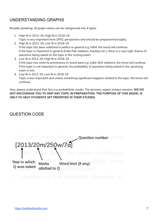#### UNDERSTANDING GRAPHS

Broadly speaking, all graph values can be categorized into 4 types.

- 1. High % in 2012-19, High % in 2018-19 Topic is very important from UPSC perspective and should be prepared thoroughly.
- 2. High % in 2012-19, Low % in 2018-19 If the topic has been sidelined in politics in general e.g. NAM, the trend will continue. If the topic is important in general (India Pak relations, Kautilya etc.), there is a very high chance of questions being asked on the topic in the coming exam.
- 3. Low % in 2012-19, High % in 2018-19 If the topic has come to prominence in recent past e.g. India-SEA relations, the trend will continue. If the topic is not important in general, the probability of questions being asked in the upcoming exam is low.
- 4. Low % in 2012-19, Low % in 2018-19

Topic is less important and unless something significant happens related to the topic, the trend will continue.

Also, please understand that this is a probabilistic model. The dynamic aspect always remains. *WE DO NOT ENCOURAGE YOU TO SKIP ANY TOPIC IN PREPARATION. THE PURPOSE OF THIS MODEL IS ONLY TO HELP STUDENTS SET PRIORITIES IN THEIR STUDIES.*

#### QUESTION CODE

eco**Question number** matic [2013/20m/250w/7 Year in which Word limit (if any Marks O was asked allotted to O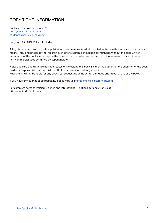#### COPYRIGHT INFORMATION

Published by Politics for India 2019. https://politicsforindia.com students@politicsforindia.com

Copyright (c) 2019, Politics for India.

All rights reserved. No part of this publication may be reproduced, distributed, or transmitted in any form or by any means, including photocopying, recording, or other electronic or mechanical methods, without the prior written permission of the publisher, except in the case of brief quotations embodied in critical reviews and certain other non-commercial uses permitted by copyright law.

Note: Due care and diligence has been taken while editing this book. Neither the author nor the publisher of the book hold any responsibility for any mistakes that may have inadvertently crept in. Publisher shall not be liable for any direct, consequential, or incidental damages arising out of use of the book.

*If you have any queries or suggestions, please mail us at students@politicsforindia.com.*

For complete notes of Political Science and International Relations optional, visit us at https://politicsforindia.com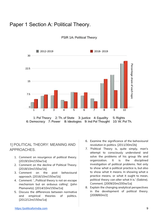#### Paper 1 Section A: Political Theory.



#### PSIR 1A: Political Theory

#### 1] POLITICAL THEORY: MEANING AND APPROACHES.

- 1. Comment on resurgence of political theory. [2019/10m/150w/1a]
- 2. Comment on the decline of Political Theory. [2018/10m/150w/1b]
- 3. Comment on the post behavioural approach. [2016/10m/150w/1b]
- 4. Comment: '...Political theory is not an escape mechanism but an arduous calling'. (John Plamanetz). [2014/10m/150w/1a]
- 5. Discuss the differences between normative and empirical theories of politics. [2012/12m/150w/1a]
- 6. Examine the significance of the behavioural revolution in politics. [2011/30m/2b]
- 7. 'Political Theory is, quite simply, man's attempt to consciously understand and solve the problems of his group life and organization. It is the disciplined investigation of political problems. Not only to show what a political practice is, but also to show what it means. In showing what a practice means, or what it ought to mean, political theory can alter what it is.' (Sabine). Comment. [2009/20m/200w/1a]
- 8. Explain the changing analytical perspectives in the development of political theory. [2008/60m/2]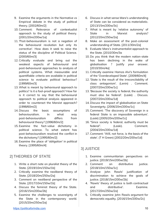- 9. Examine the arguments in the Normative vs Empirical debate in the study of political theory. [2002/60m/2]
- 10. Comment: Relevance of contextualist approach to the study of political theory. [2001/20m/200w/1a]
- 11. 'Post-behaviouralism is not a negation of the behavioural revolution but only its corrective'. How does it seek to raise the status of the discipline of Political Science. [2000/60m/3]
- 12. Critically evaluate and bring out the weakest aspects of behavioural and post-behavioural approaches to analysis of political systems. What measurable and quantifiable criteria are available in political science to evaluate political behaviour? [1999/60m/3]
- 13. What is meant by behavioural approach to politics? Is it a fool-proof approach? How far is it correct to say that the behavioural approach to political analysis appeared in order to counteract the Marxist approach? [1998/60m/2]
- 14. Discuss the basic assumptions of behaviouralism. In what way post-behaviouralism differs from behavioural theory? [1996/60m/2]
- 15. Examine the fact-value dichotomy in political science. To what extent has post-behaviouralism resolved the conflict in the dichotomy? [1995/60m/2]
- 16. Examine the place of 'obligation' in political theory. [1995/60m/4]

#### 2] THEORIES OF STATE

- 1. Write a short note on pluralist theory of the State. [2019/10m/150w/1b]
- 2. Critically examine the neoliberal theory of State. [2018/20m/250w/2a]
- 3. Comment on neoliberal perspective of the State. [2017/10m/150w/1b]
- 4. Discuss the feminist theory of the State. [2016/15m/200w/2b]
- 5. Examine the challenges to sovereignty of the State in the contemporary world. [2015/20m/250w/2a]
- 6. Discuss in what sense Marx's understanding of State can be considered as materialistic. [2013/15m/200w/3c]
- 7. What is meant by 'relative autonomy' of State in Marxist analysis? [2012/20m/250w/2a]
- 8. Make an assessment of the post-colonial understanding of State. [2011/30m/2a]
- 9. Evaluate Marx's instrumentalist approach to the State. [2010/30m/3a
- 10. Do you think that the modern nation-state has been declining in the wake of globalisation ? Justify your answer. [2010/30m/4a]
- 11. Critically examine Hamza Alvi's formulation of the 'Overdeveloped State'. [2009/60m/4]
- 12. 'State is the result of the irreconcilability of class antagonism'. (Lenin) . Comment. [2007/20m/200w/1c]
- 13. 'Because the society is federal, the authority must also be federal'. (Laski) . Discuss. [2007/20m/200w/1d]
- 14. Discuss the impact of globalisation on State Sovereignty. [2006/20m/200w/1c]
- 15. Comment: 'The discovery of Sovereign in a federal State is an impossible adventure'. (Laski) [2005/20m/200w/1c]
- 16. "Since society is federal, authority must be federal". (Laski). Comment. [2004/20m/200w/1d]
- 17. Comment: 'Will, not force, is the basis of the state'. (T H Green) [2002/20m/200w/1d]

#### 3] JUSTICE

- 1. Examine communitarian perspectives on justice. [2019/15m/200w/2b]
- 2. Comment on distributive justice. [2018/10m/150w/1c]
- 3. Analyse John Rawls' justification of discrimination to achieve the goals of justice. [2018/15m/200w/2b]
- 4. 'Rawls' theory of justice is both contractual and distributive'. Examine. [2017/20m/250w/2a]
- 5. Critically examine John Rawls argument for democratic equality. [2016/15m/200w/2c]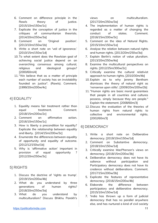- 6. Comment on difference principle in the Rawls theory of justice. [2015/10m/150w/1c]
- 7. Explicate the conception of justice in the critiques of communitarian theorists. [2014/20m/250w/3a]
- 8. Comment on 'Original position'. [2013/10m/150w/1b]
- 9. Write a short note on 'veil of ignorance.' [2010/15m/150w/1d]
- 10. To what extent does the Rawlsian goal of achieving social justice depend on an overarching consensus among cultural, religious and ideological groups? [2000/60m/4]
- 11. "We believe that as a matter of principle each number of society has an inviolability founded on justice". (Rawls). Comment. [1999/20m/200w/4c]

#### 4] EQUALITY

- 1. Equality means fair treatment rather than equal treatment. Comment. [2018/15m/200w/2c]
- 2. Comment on affirmative action. [2016/10m/150w/1c]
- 3. How is liberty a precondition for equality? Explicate the relationship between equality and liberty. [2014/15m/200w/3c]
- 4. Enumerate the differences between equality of opportunity and equality of outcome. [2012/12/150w/1b]
- 5. Why is 'affirmative action' important in provision of equal opportunity ? [2012/20m/250w/3c]

#### 5] RIGHTS

- 1. Discuss the doctrine of 'rights as trump'. [2019/15m/200w/4b]
- 2. What do you understand by three generations of human rights? [2018/20m/250w/3a]
- 3. What do you understand by multiculturalism? Discuss Bhikhu Parekh's

views on multiculturalism. [2017/20m/250w/3a]

- 4. The implementation of human rights is regarded as a matter of changing the conduct of states. Comment. [2016/15m/200w/3c]
- 5. Comment on the idea of Natural Rights. [2015/10m/150w/1a]
- 6. Analyse the relation between natural rights and human rights. [2013/20m/250w/3a]
- 7. Explain Berlin's notion of value pluralism. [2013/20m/250w/4a]
- 8. Examine the multicultural perspectives on rights. [2012/25m/300w/2c]
- 9. Critically examine the cultural relativist approach to human rights. [2010/30m/4b]
- 10. Explain as to why Jeremy Bentham dismisses the theory of natural right as 'nonsense upon stilts'. [2009/20m/200w/2b]
- 11. "Human rights are basic moral guarantees that people in all countries and cultures possess, simply because they are people." Explain the statement. [2008/60m/3]
- 12. Discuss the evaluation of the theories of human rights from natural rights to collective and environmental rights. [2002/60m/3]

#### 6] DEMOCRACY

- 1. Write a short note on Deliberative democracy. [2019/10m/150w/1d]
- 2. Comment on Substantive democracy. [2018/10m/150w/1d]
- 3. Critically examine MacPherson's views on democracy. [2018/15m/200w/3b]
- 4. Deliberative democracy does not have its salience without participation and Participatory democracy does not have its credence without deliberations. Comment. [2017/15m/200w/3b]
- 5. Explicate the features of representative democracy. [2016/15m/200w/4b]
- 6. Elaborate the difference between participatory and deliberative democracy. [2015/10m/150w/1d]
- 7. 'India has thrown up a form of judicial democracy that has no parallel anywhere else, and has nurtured a kind of civil society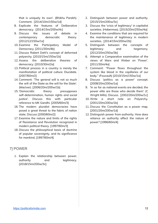that is uniquely its own'. (Bhikhu Parekh). Comment. [2014/10m/150w/1d]

- 8. Explicate the features of Deliberative democracy. [2014/15m/200w/4c]
- 9. Discuss the issues of debate in contemporary democratic theory. [2012/12/150w/1e]
- 10. Examine the Participatory Model of Democracy. [2011/30m/4b]
- 11. Discuss Robert Dahl's concept of deformed polyarchy. [2010/15m/150w/1b]
- 12. Assess the deliberative theories of democracy. [2010/30m/2a]
- 13. Political process in a country is merely the manifestation of political culture. Elucidate. [2007/60m/2]
- 14. Comment: 'The general will is not so much the will of the State as the will for the State'. (MacIver). [2006/20m/200w/1b]
- 15. 'Democratic theory presupposes self-determination, human rights and social justice'. Discuss this with particular reference to MK Gandhi. [2005/60m/3]
- 16. The modern pluralist democracies have posed a great threat to the fabric of nation state. Discuss [2000/60m/2]
- 17. Examine the nature and limits of the rights of Resistance and Revolution recognized in modern political theory. [1997/60m/3]
- 18. Discuss the philosophical basis of doctrine of popular sovereignty, and its significance for mankind. [1997/60m/4]

#### 7] POWER

1. Explain the relationship between power, authority and legitimacy. [2018/15m/200w/3c]

- 2. Distinguish between power and authority. [2015/15m/200w/3c]
- 3. Discuss the 'crisis of legitimacy' in capitalist societies. (Habermas). [2015/20m/250w/4a]
- 4. Examine the conditions that are required for the maintenance of legitimacy in modern societies. [2014/15m/200w/2b]
- 5. Distinguish between the concepts of legitimacy and hegemony. [2012/20m/250w/3b]
- 6. Attempt a Comparative examination of the views of Marx and Weber on 'Power'. [2011/30m/4a]
- 7. Comment: "Power flows throughout the system like blood in the capillaries of our body." (Foucault) [2010/15m/150w/1a]
- 8. Discuss 'politics as a power' concept. [2008/20m/200w/1a]
- 9. 'In so far as national events are decided, the power elite are those who decide them'. (C Wright Mills). Discuss. [2002/20m/200w/1c]
- 10. Write a short note on Polyarchy. [2001/20m/200w/1b]
- 11. Discuss the Constitution as a power map. [2001/20m/200w/1d]
- 12. Distinguish power from authority. How does reliance on authority affect the nature of power? [1996/60m/4]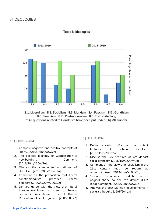

#### Topic 8: Ideologies

8.1: Liberalism 8.2: Socialism 8.3: Marxism 8.4: Fascism 8.5: Gandhism 8.6: Feminism 8.7: Postmodernism 8.8: End of Ideology \* All questions related to Gandhism have been put under 9.6] MK Gandhi

#### 8.1] LIBERALISM

- 1. Compare negative and positive concepts of liberty. [2019/15m/200w/2c]
- 2. The political ideology of Globalisation is neoliberalism. Comment. [2016/20m/250w/2a]
- 3. Discuss the communitarian critique of liberalism. [2013/20m/250w/2a]
- 4. Comment on the proposition that liberal constitutionalism precedes liberal democracy. [2009/20m/200w/2c]
- 5. Do you agree with the view that liberal theories are based on atomism, whereas communitarians have a social thesis? Present your line of argument. [2005/60m/2]

#### 8.2] SOCIALISM

- 1. Define socialism. Discuss the salient features of Fabian socialism. [2017/15m/200w/2c]
- 2. Discuss the key features of pre-Marxist socialist theory. [2015/15m/200w/2b]
- 3. Comment on the view that 'socialism in the 21st century may be reborn as anti-capitalism'. [2014/20m/250w/2a]
- 4. 'Socialism is a much used hat, whose original shape no one can define'. (CEM Joad). Comment. [2009/20m/200w/1d]
- 5. Analyse the post-Marxian developments in socialist thought. [1995/60m/3]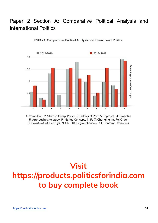## Paper 2 Section A: Comparative Political Analysis and International Politics



PSIR 2A: Comparative Political Analysis and International Politics

1: Comp Pol. 2: State in Comp. Persp. 3: Politics of Part. & Represnt. 4: Globalzn 5: Approaches. to study IR 6: Key Concepts in IR 7: Changing Int. Pol Order 8: Evolutn of Int. Eco. Sys. 9. UN 10. Regionalization 11. Contemp. Concerns

# **Visit https://products.politicsforindia.com to buy complete book**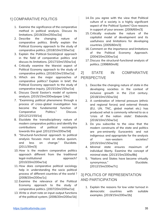#### 1] COMPARATIVE POLITICS

- 1. Examine the significance of the comparative method in political analysis. Discuss its limitations. [2019/20m/250w/2a]
- 2. Describe the changing nature of comparative politics. Briefly explain the Political Economy approach to the study of comparative politics. [2018/10m/150w/1a]
- 3. Explain the Political-Sociological approach in the field of comparative politics and discuss its limitations. [2017/10m/150w/1a]
- 4. Critically examine the Marxist aspect of Political Economy approach to the study of comparative politics. [2016/10m/150w/1a]
- 5. Which are the major approaches of comparative politics? Explain in brief, the Political Economy approach to the study of comparative inquiry. [2015/10m/150w/1a]
- 6. Discuss David Easton's model of systems analysis. [2015/15m/200w/paper 1/4c]
- 7. "Examining political phenomena through a process of cross-global investigation has become the fundamental function of Comparative Politics." Discuss. [2012/12/150/1a]
- 8. Elucidate the transdisciplinary nature of modern comparative politics and identify the contributions of political sociologists towards this goal. [2012/15m/200w/3d]
- 9. "Structural-functional approach to political analysis focuses more on status quoism, and less on change." Elucidate. [2011/30m/3]
- 10. How is the modern comparative politics approach different from the traditional legal-institutional approach? [2010/20m/200w/1a]
- 11. How does comparative political sociology help in understanding the socio political process of different countries of the world ? [2008/20m/200w/1c]
- 12. Examine the relevance of the Political Economy approach to the study of comparative politics. [2007/20m/200w/1a]
- 13. Write a short note on input-output functions of the political system. [2006/20m/200w/1b]
- 14. Do you agree with the view that Political culture of a society is a highly significant aspect of the Political System? Give reasons in support of your answer. [2006/60m/3]
- 15. Critically evaluate the nature of the capitalist model of development and its usefulness and limitations for developing countries. [2005/60m/3]
- 16. Comment on the importance and limitations of the Political Economy Approach. [2004/20m/200w/1a]
- 17. Discuss the structural-functional analysis of politics. [1998/60m/6]

#### 2] STATE IN COMPARATIVE PERSPECTIVE

- 1. Describe the changing nature of state in the developing societies in the context of inclusive growth in the 21st century. [2018/10m/150w/1b]
- 2. A combination of internal pressure (ethnic and regional forces) and external threats (EU, UN, TNC, global market etc.) has produced what is commonly referred to as a 'crisis of the nation state'. Elaborate. [2016/10m/150w/1e]
- 3. Do you subscribe to the view that the modern constructs of the state and politics are pre-eminently Eurocentric and not indigenous and appropriate for the analysis of non-western societies? [2015/10m/150w/1b]
- 4. Minimal state ensures maximum of individual liberty. Examine the concept of minimal state. [2013/15m/200w/8b]
- 5. "Nations and States have become virtually synonymous." Elucidate. [2012/15m/200w/7c]

#### 3] POLITICS OF REPRESENTATION AND PARTICIPATION

1. Explain the reasons for low voter turnout in democratic countries with suitable examples. [2019/15m/200w/2b]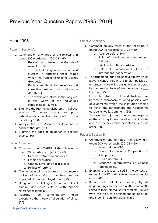### Previous Year Question Papers [1995 -2019]

#### Year 1995

Paper 1 Section A

- 1. Comment on any three of the following in about 200 words each:  $(20 \times 3 = 60)$ 
	- a. Rule of law is better than the rule of men (Aristotle).
	- b. The end of every man is continued success in obtaining those things which he, from time to time, desires (Hobbes).
	- c. Punishment should be preventive and corrective rather than retaliatory (Bentham).
	- d. The worth of a state, in the long run, is the worth of the individuals composing it (J S Mill).
- 2. Examine the fact-value dichotomy in political science. To what extent has postbehaviouralism resolved the conflict in the dichotomy? (60)
- 3. Analyse the post-Marxian developments in socialist thought. (60)
- 4. Examine the pace of obligation in political theory. (60)

Paper 1 Section B

- 5. Comment on any THREE of the following in about 200 words each:  $(20 \times 3 = 60)$ 
	- a. Representative bureaucracies
	- b. Ethnic separatism
	- c. Creamy Layer and social justice
	- d. Politics of terrorism
- 6. The function of a legislature is not merely making of laws. What other functions are expected of a modern legislature? (60)
- 7. Bring out the linkages between political culture and civic culture with special reference to India. (60)
- 8. Illustrate from contemporary Indian experience the theory of circulation of elites. (60)

Paper 2 Section A

- 1. Comment on any three of the following in about 200 words each:  $(20 \times 3 = 60)$ 
	- a. Agenda before NAM
	- b. Role of Ideology in International Relations
	- c. OAU and conflicts in Africa
	- d. Role of International Law in international cooperation.
- 2. The traditional principle of sovereignty which plays a central role in the foreign policies of all states, is now increasingly counteracted by the growing facts of interdependence\_\_\_\_ Discuss. (60)
- 3. From the start, the United Nations has become a microcosm of world policies, with developments within the institution tending to mirror the atmosphere and happenings outside its walls. Comment. (60)
- 4. Analyse the unjust and hegemonic aspects of the existing international economic order and the factors which perpetuate such an order. (60)

#### Paper 2 Section B

- 5. Comment on any THREE of the following in about 200 words each:  $(20 \times 3 = 60)$ 
	- a. India and the WTO
	- b. Council for Security Cooperation in Asia pacific
	- c. Russia and NATO
	- d. Economic determinants of Chinese foreign policy.
- 6. Examine the issues raised in the context of renewal of NPT both by its advocates and its critics. (60)
- 7. It is said that India bashing by its neighbouring countries is directly or indirectly linked to their internal social conflicts. Explain with the help of development of Indo-Pak and Indo- Sri Lankan relations. (60)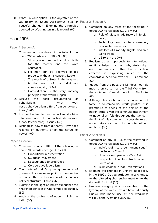8. What, in your option, is the objective of the US policy in South Asia-status quo or peaceful change? Examine the strategies adopted by Washington in this regard. (60)

#### Year 1996

Paper 1 Section A

- 1. Comment on any three of the following in about 200 words each:  $(20 \times 3 = 60)$ 
	- a. Slavery is natural and beneficial both for the master and the slave (Aristotle).
	- b. No man can be deprived of his property without his consent (Locke).
	- c. The worth of a State, in the long run, is the worth of the individuals composing it (J. S. Mill).
	- d. Contradiction is the very moving principle of the world (Hegel).
- 2. Discuss the basic assumptions of behaviorism. In what way post-behaviouralism differs from behavioural theory? (60)
- 3. It is hard indeed to turn the Lockean doctrine into any kind of unqualified democratic theory (Mcpherson). Discuss. (60)
- 4. Distinguish power from authority. How does reliance on authority affect the nature of power? (60)

Paper 1 Section B

- 5. Comment on any THREE of the following in about 200 words each:  $(20 \times 3 = 60)$ 
	- a. Proportional representation
	- b. Swadeshi movement
	- c. Kesavananda Bharati Case
	- d. Co-operative federalism
- 6. The roots of India's growing problems of governability are more political than socioeconomic, that is, they are located in India's political structure. Discuss. (60)
- 7. Examine in the light of India's experience the Weberian concept of Charismatic leadership. (60)
- 8. Analyse the problems of nation building in India. (60)

#### Paper 2 Section A

- 1. Comment on any three of the following in about 200 words each:  $(20 \times 3 = 60)$ 
	- a. Role of idiosyncratic factors in foreign policy
	- b. Technology and state sovereignty over water resources
	- c. Intellectual Property Rights and free world trade
	- d. US role in the OAS
- 2. Realism as an approach to international relations helps to explain why states fight and threaten each other, but it is less effective in explaining much of the cooperative behaviour we see\_\_\_\_ Comment. (60)
- 3. Judged from the past, the UN does not hold much promise to free the Third World from the clutches of neo-imperialism. Elucidate. (60)
- 4. Although transnationalism is an important force in contemporary world politics, it is premature to speak of the demise of the nation-state, given the continued attachment to nationalism felt throughout the world. In the light of this statement, discuss the role of nation state as an actor in international relations. (60)

#### Paper 2 Section B

- 5. Comment on any THREE of the following in about 200 words each:  $(20 \times 3 = 60)$ 
	- a. India's claim to a permanent seat in the Security Council
	- b. Hammas and peace in West Asia
	- c. Prospects of a free trade area in South Asia
	- d. Islamic factor in Indo-Pak relations.
- 6. Examine the changes in China's India policy in the 1990s. Do you attribute these changes to the altered global environment or to the domestic factors? (60)
- 7. Russian foreign policy is described as the tyranny of the weak. Explain how judiciously Russia has made use of her weakness vis-a-vis the West and USA. (60)